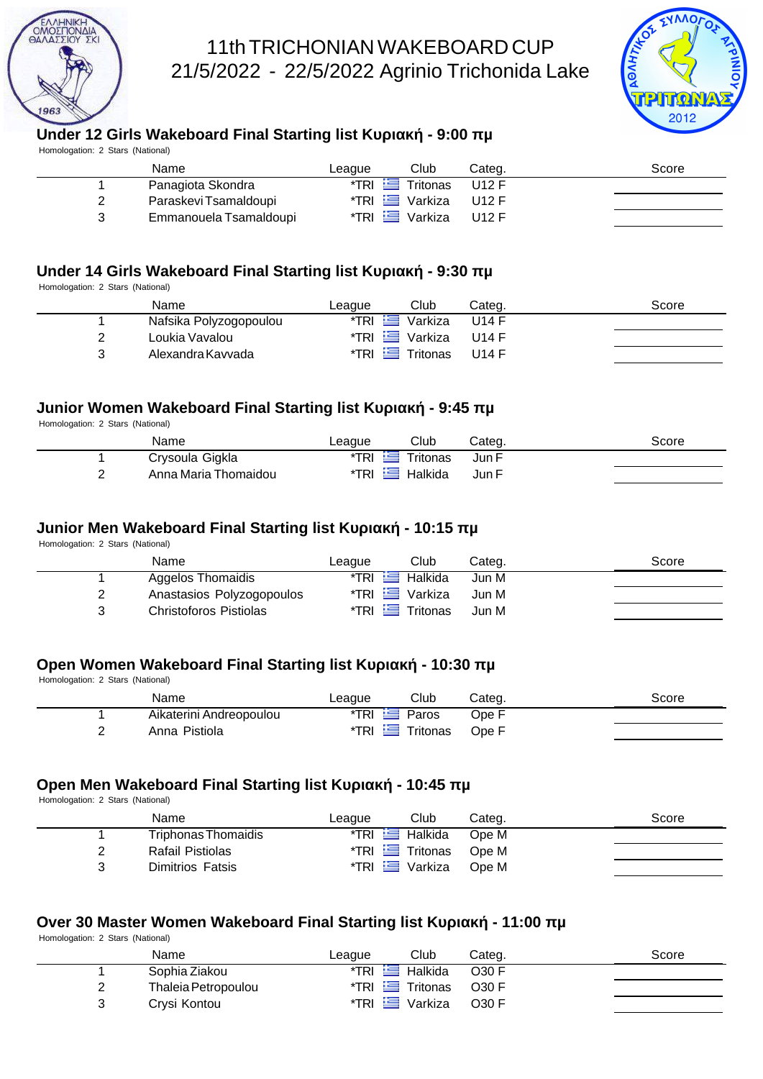

## 11th TRICHONIAN WAKEBOARD CUP 21/5/2022 - 22/5/2022 Agrinio Trichonida Lake



|                                  | <b>Under 12 Girls Wakeboard Final Starting list</b> | $-9:00$                   |                   | 2012  |
|----------------------------------|-----------------------------------------------------|---------------------------|-------------------|-------|
| Homologation: 2 Stars (National) |                                                     |                           | μ                 |       |
|                                  | Name                                                | Club<br>League            | Categ.            | Score |
| 1                                | Panagiota Skondra                                   | *TRI<br>Tritonas<br>œ     | U12 F             |       |
| 2                                | Paraskevi Tsamaldoupi                               | 一<br>*TRI<br>Varkiza      | U12 F             |       |
| 3                                | Emmanouela Tsamaldoupi                              | 隼<br>*TRI<br>Varkiza      | U12 F             |       |
|                                  |                                                     |                           |                   |       |
| Homologation: 2 Stars (National) | <b>Under 14 Girls Wakeboard Final Starting list</b> | $-9:30$                   | $\mu$             |       |
|                                  | Name                                                | League<br>Club            | Categ.            | Score |
| 1                                | Nafsika Polyzogopoulou                              | *TRI<br>Varkiza<br>كنا    | <b>U14 F</b>      |       |
| 2                                | Loukia Vavalou                                      | $TRI \equiv$<br>Varkiza   | <b>U14 F</b>      |       |
| 3                                | Alexandra Kavvada                                   | *TRI<br>£<br>Tritonas     | <b>U14 F</b>      |       |
|                                  | Junior Women Wakeboard Final Starting list          | $-9:45$                   | $\mu$             |       |
| Homologation: 2 Stars (National) | Name                                                | Club<br>League            | Categ.            | Score |
| 1                                | Crysoula Gigkla                                     | *TRI<br>Tritonas          | Jun F             |       |
| 2                                | Anna Maria Thomaidou                                | *TRI<br>t –<br>Halkida    | Jun F             |       |
|                                  | <b>Junior Men Wakeboard Final Starting list</b>     | $-10:15$                  | $\mu$             |       |
| Homologation: 2 Stars (National) |                                                     |                           |                   |       |
|                                  | Name                                                | Club<br>League            | Categ.            | Score |
| 1                                | <b>Aggelos Thomaidis</b>                            | $*$ TRI<br>Halkida<br>ڪيو | Jun M             |       |
| 2                                | Anastasios Polyzogopoulos                           | *TRI<br>⋍<br>Varkiza      | Jun M             |       |
| 3                                | <b>Christoforos Pistiolas</b>                       | *TRI<br>车<br>Tritonas     | Jun M             |       |
|                                  | <b>Open Women Wakeboard Final Starting list</b>     | $-10:30$                  |                   |       |
| Homologation: 2 Stars (National) |                                                     |                           | μ                 |       |
|                                  | Name                                                | Club<br>League            | Categ.            | Score |
| 1                                | Aikaterini Andreopoulou                             | $*$ TRI<br>Paros          | Ope F             |       |
| $\overline{c}$                   | Anna Pistiola                                       | $*TRI$ $\equiv$ Tritonas  | Ope F             |       |
|                                  |                                                     |                           |                   |       |
| Homologation: 2 Stars (National) | <b>Open Men Wakeboard Final Starting list</b>       | $-10:45$                  | $\mu$             |       |
|                                  | Name                                                | League<br>Club            | Categ.            | Score |
| 1                                | <b>Triphonas Thomaidis</b>                          | $*$ TRI<br>Halkida        | Ope M             |       |
| 2                                | Rafail Pistiolas                                    | *TRI Fritonas             | Ope M             |       |
| 3                                | <b>Dimitrios Fatsis</b>                             | *TRI Varkiza              | Ope M             |       |
|                                  |                                                     |                           |                   |       |
|                                  | Over 30 Master Women Wakeboard Final Starting list  |                           | $-11:00$<br>$\mu$ |       |
| Homologation: 2 Stars (National) |                                                     |                           |                   |       |
|                                  | Name                                                | Club<br>League            | Categ.            | Score |
| 1                                | Sophia Ziakou                                       | Halkida<br>$*$ TRI<br>生物  | <b>O30 F</b>      |       |
| 2                                | Thaleia Petropoulou                                 | *TRI Fritonas             | <b>O30 F</b>      |       |
| 3                                | Crysi Kontou                                        | *TRI E Varkiza            | O30 F             |       |